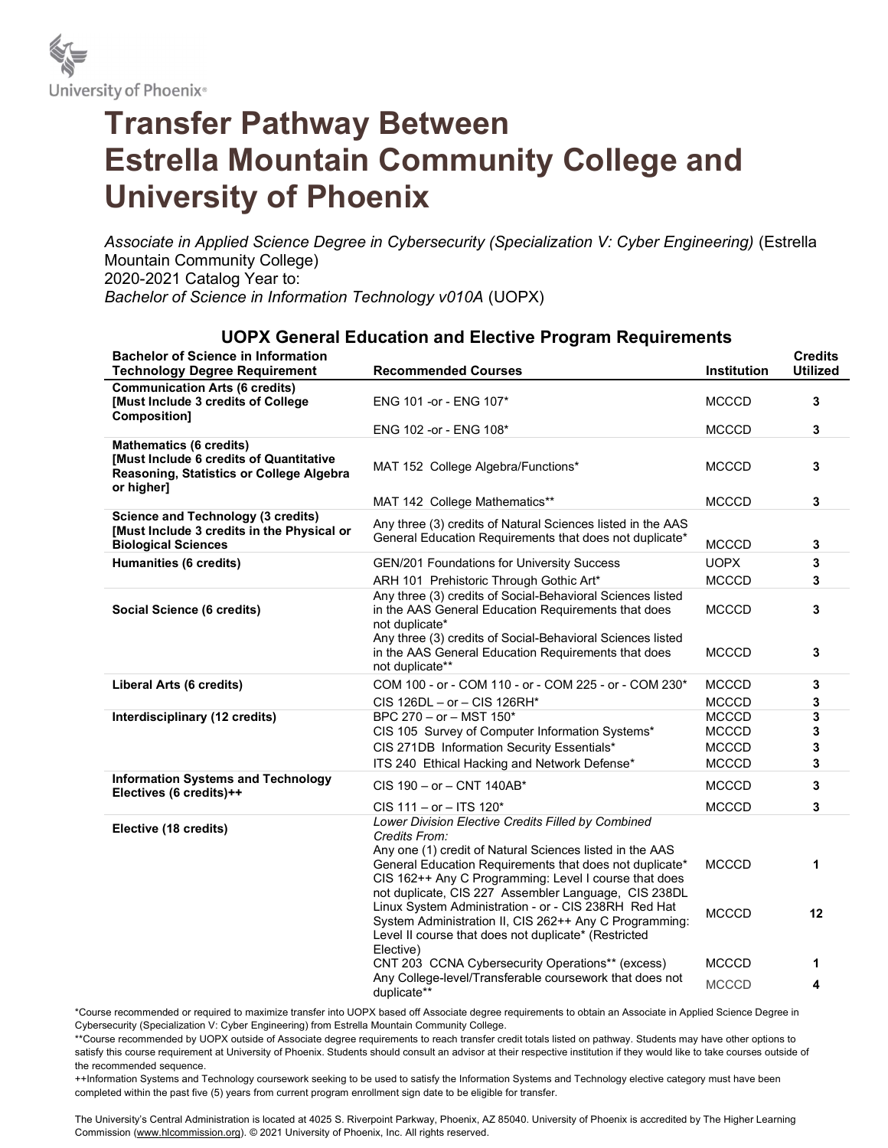

## Transfer Pathway Between Estrella Mountain Community College and University of Phoenix

Associate in Applied Science Degree in Cybersecurity (Specialization V: Cyber Engineering) (Estrella Mountain Community College) 2020-2021 Catalog Year to: Bachelor of Science in Information Technology v010A (UOPX)

## UOPX General Education and Elective Program Requirements

| <b>Bachelor of Science in Information</b><br><b>Technology Degree Requirement</b>                                                          | <b>Recommended Courses</b>                                                                                                                                                                                                                                                                                                                                                                                                                                                                         | Institution                  | <b>Credits</b><br><b>Utilized</b> |
|--------------------------------------------------------------------------------------------------------------------------------------------|----------------------------------------------------------------------------------------------------------------------------------------------------------------------------------------------------------------------------------------------------------------------------------------------------------------------------------------------------------------------------------------------------------------------------------------------------------------------------------------------------|------------------------------|-----------------------------------|
| <b>Communication Arts (6 credits)</b><br>[Must Include 3 credits of College]<br>Composition]                                               | ENG 101 - or - ENG 107*                                                                                                                                                                                                                                                                                                                                                                                                                                                                            | <b>MCCCD</b>                 | 3                                 |
|                                                                                                                                            | ENG 102 -or - ENG 108*                                                                                                                                                                                                                                                                                                                                                                                                                                                                             | <b>MCCCD</b>                 | 3                                 |
| <b>Mathematics (6 credits)</b><br><b>IMust Include 6 credits of Quantitative</b><br>Reasoning, Statistics or College Algebra<br>or higher] | MAT 152 College Algebra/Functions*                                                                                                                                                                                                                                                                                                                                                                                                                                                                 | <b>MCCCD</b>                 | 3                                 |
|                                                                                                                                            | MAT 142 College Mathematics**                                                                                                                                                                                                                                                                                                                                                                                                                                                                      | <b>MCCCD</b>                 | 3                                 |
| <b>Science and Technology (3 credits)</b><br>[Must Include 3 credits in the Physical or<br><b>Biological Sciences</b>                      | Any three (3) credits of Natural Sciences listed in the AAS<br>General Education Requirements that does not duplicate*                                                                                                                                                                                                                                                                                                                                                                             | <b>MCCCD</b>                 | 3                                 |
| Humanities (6 credits)                                                                                                                     | GEN/201 Foundations for University Success                                                                                                                                                                                                                                                                                                                                                                                                                                                         | <b>UOPX</b>                  | 3                                 |
|                                                                                                                                            | ARH 101 Prehistoric Through Gothic Art*                                                                                                                                                                                                                                                                                                                                                                                                                                                            | <b>MCCCD</b>                 | 3                                 |
| Social Science (6 credits)                                                                                                                 | Any three (3) credits of Social-Behavioral Sciences listed<br>in the AAS General Education Requirements that does<br>not duplicate*                                                                                                                                                                                                                                                                                                                                                                | <b>MCCCD</b>                 | 3                                 |
|                                                                                                                                            | Any three (3) credits of Social-Behavioral Sciences listed<br>in the AAS General Education Requirements that does<br>not duplicate**                                                                                                                                                                                                                                                                                                                                                               | <b>MCCCD</b>                 | 3                                 |
| Liberal Arts (6 credits)                                                                                                                   | COM 100 - or - COM 110 - or - COM 225 - or - COM 230*                                                                                                                                                                                                                                                                                                                                                                                                                                              | <b>MCCCD</b>                 | 3                                 |
|                                                                                                                                            | CIS 126DL - or - CIS 126RH*                                                                                                                                                                                                                                                                                                                                                                                                                                                                        | <b>MCCCD</b>                 | 3                                 |
| Interdisciplinary (12 credits)                                                                                                             | BPC 270 - or - MST 150*                                                                                                                                                                                                                                                                                                                                                                                                                                                                            | <b>MCCCD</b>                 | 3                                 |
|                                                                                                                                            | CIS 105 Survey of Computer Information Systems*                                                                                                                                                                                                                                                                                                                                                                                                                                                    | <b>MCCCD</b>                 | 3                                 |
|                                                                                                                                            | CIS 271DB Information Security Essentials*                                                                                                                                                                                                                                                                                                                                                                                                                                                         | <b>MCCCD</b>                 | 3                                 |
|                                                                                                                                            | ITS 240 Ethical Hacking and Network Defense*                                                                                                                                                                                                                                                                                                                                                                                                                                                       | <b>MCCCD</b>                 | 3                                 |
| <b>Information Systems and Technology</b><br>Electives (6 credits)++                                                                       | CIS 190 - or - CNT 140AB*                                                                                                                                                                                                                                                                                                                                                                                                                                                                          | <b>MCCCD</b>                 | 3                                 |
|                                                                                                                                            | CIS 111 - or - ITS 120*                                                                                                                                                                                                                                                                                                                                                                                                                                                                            | <b>MCCCD</b>                 | 3                                 |
| Elective (18 credits)                                                                                                                      | Lower Division Elective Credits Filled by Combined<br>Credits From:<br>Any one (1) credit of Natural Sciences listed in the AAS<br>General Education Requirements that does not duplicate*<br>CIS 162++ Any C Programming: Level I course that does<br>not duplicate, CIS 227 Assembler Language, CIS 238DL<br>Linux System Administration - or - CIS 238RH Red Hat<br>System Administration II, CIS 262++ Any C Programming:<br>Level II course that does not duplicate* (Restricted<br>Elective) | <b>MCCCD</b><br><b>MCCCD</b> | 1<br>12                           |
|                                                                                                                                            | CNT 203 CCNA Cybersecurity Operations** (excess)                                                                                                                                                                                                                                                                                                                                                                                                                                                   | <b>MCCCD</b>                 | 1                                 |
|                                                                                                                                            | Any College-level/Transferable coursework that does not<br>duplicate**                                                                                                                                                                                                                                                                                                                                                                                                                             | <b>MCCCD</b>                 | 4                                 |

\*Course recommended or required to maximize transfer into UOPX based off Associate degree requirements to obtain an Associate in Applied Science Degree in Cybersecurity (Specialization V: Cyber Engineering) from Estrella Mountain Community College.

\*\*Course recommended by UOPX outside of Associate degree requirements to reach transfer credit totals listed on pathway. Students may have other options to satisfy this course requirement at University of Phoenix. Students should consult an advisor at their respective institution if they would like to take courses outside of the recommended sequence.

++Information Systems and Technology coursework seeking to be used to satisfy the Information Systems and Technology elective category must have been completed within the past five (5) years from current program enrollment sign date to be eligible for transfer.

The University's Central Administration is located at 4025 S. Riverpoint Parkway, Phoenix, AZ 85040. University of Phoenix is accredited by The Higher Learning Commission (www.hlcommission.org). © 2021 University of Phoenix, Inc. All rights reserved.